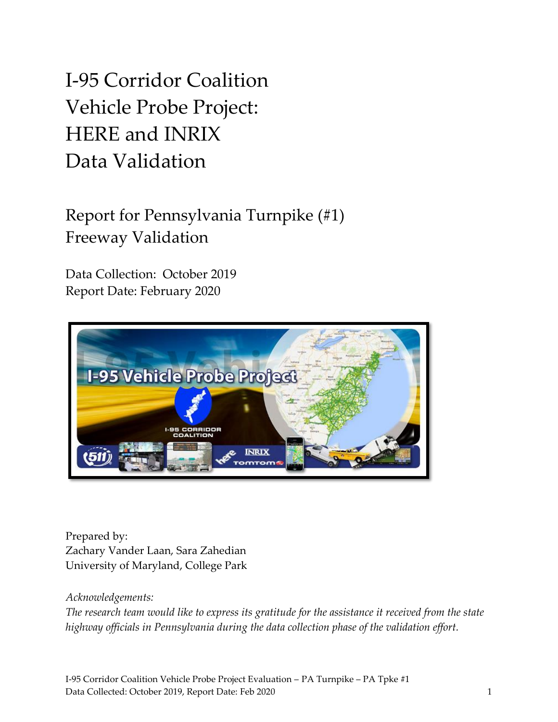# I-95 Corridor Coalition Vehicle Probe Project: HERE and INRIX Data Validation

# Report for Pennsylvania Turnpike (#1) Freeway Validation

Data Collection: October 2019 Report Date: February 2020



Prepared by: Zachary Vander Laan, Sara Zahedian University of Maryland, College Park

### *Acknowledgements:*

*The research team would like to express its gratitude for the assistance it received from the state highway officials in Pennsylvania during the data collection phase of the validation effort.*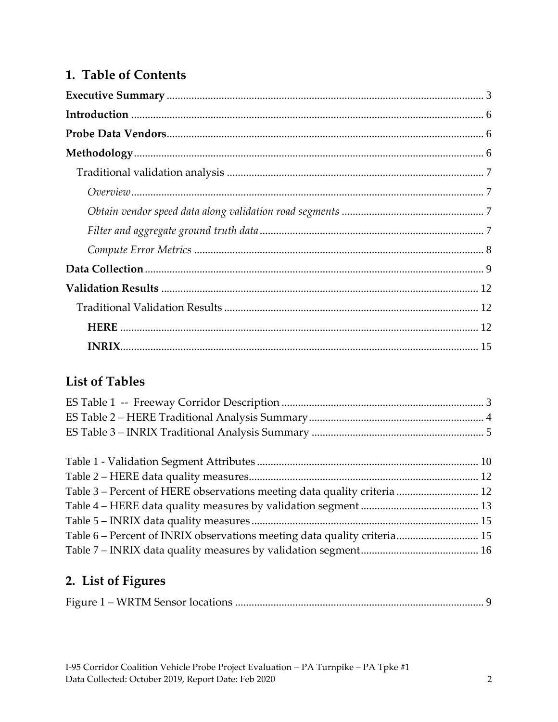### 1. Table of Contents

### **List of Tables**

| Table 3 - Percent of HERE observations meeting data quality criteria  12 |  |
|--------------------------------------------------------------------------|--|
|                                                                          |  |
|                                                                          |  |
| Table 6 – Percent of INRIX observations meeting data quality criteria 15 |  |
|                                                                          |  |

## 2. List of Figures

|--|--|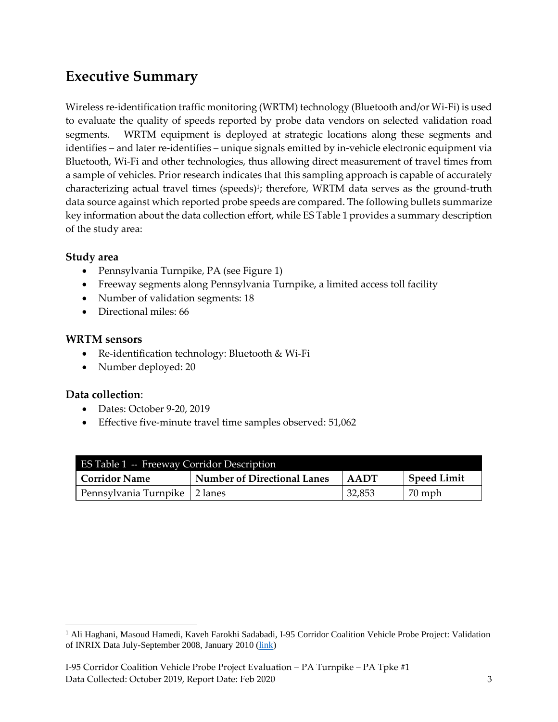# <span id="page-2-0"></span>**Executive Summary**

Wireless re-identification traffic monitoring (WRTM) technology (Bluetooth and/or Wi-Fi) is used to evaluate the quality of speeds reported by probe data vendors on selected validation road segments. WRTM equipment is deployed at strategic locations along these segments and identifies – and later re-identifies – unique signals emitted by in-vehicle electronic equipment via Bluetooth, Wi-Fi and other technologies, thus allowing direct measurement of travel times from a sample of vehicles. Prior research indicates that this sampling approach is capable of accurately characterizing actual travel times (speeds)<sup>1</sup>; therefore, WRTM data serves as the ground-truth data source against which reported probe speeds are compared. The following bullets summarize key information about the data collection effort, while ES Table 1 provides a summary description of the study area:

#### **Study area**

- Pennsylvania Turnpike, PA (see Figure 1)
- Freeway segments along Pennsylvania Turnpike, a limited access toll facility
- Number of validation segments: 18
- Directional miles: 66

#### **WRTM sensors**

- Re-identification technology: Bluetooth & Wi-Fi
- Number deployed: 20

#### **Data collection**:

- Dates: October 9-20, 2019
- Effective five-minute travel time samples observed: 51,062

<span id="page-2-1"></span>

| ES Table 1 -- Freeway Corridor Description |      |                    |        |  |  |  |
|--------------------------------------------|------|--------------------|--------|--|--|--|
| l Corridor Name                            | AADT | <b>Speed Limit</b> |        |  |  |  |
| Pennsylvania Turnpike   2 lanes            |      | 32,853             | 70 mph |  |  |  |

<sup>&</sup>lt;sup>1</sup> Ali Haghani, Masoud Hamedi, Kaveh Farokhi Sadabadi, I-95 Corridor Coalition Vehicle Probe Project: Validation of INRIX Data July-September 2008, January 2010 [\(link\)](https://i95coalition.org/wp-content/uploads/2015/02/I-95-CC-Final-Report-Jan-28-2009.pdf?x70560)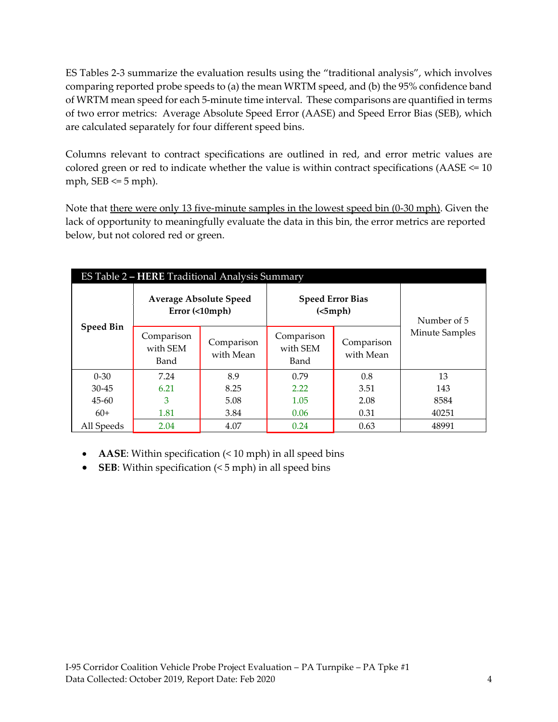ES Tables 2-3 summarize the evaluation results using the "traditional analysis", which involves comparing reported probe speeds to (a) the mean WRTM speed, and (b) the 95% confidence band of WRTM mean speed for each 5-minute time interval. These comparisons are quantified in terms of two error metrics: Average Absolute Speed Error (AASE) and Speed Error Bias (SEB), which are calculated separately for four different speed bins.

Columns relevant to contract specifications are outlined in red, and error metric values are colored green or red to indicate whether the value is within contract specifications (AASE <= 10 mph,  $SEB \le 5$  mph).

Note that there were only 13 five-minute samples in the lowest speed bin (0-30 mph). Given the lack of opportunity to meaningfully evaluate the data in this bin, the error metrics are reported below, but not colored red or green.

<span id="page-3-0"></span>

|                  | ES Table 2 – HERE Traditional Analysis Summary  |                         |                                     |                         |                |  |  |  |  |
|------------------|-------------------------------------------------|-------------------------|-------------------------------------|-------------------------|----------------|--|--|--|--|
| <b>Speed Bin</b> | <b>Average Absolute Speed</b><br>Error (<10mph) |                         | <b>Speed Error Bias</b><br>(<5 mph) | Number of 5             |                |  |  |  |  |
|                  | Comparison<br>with SEM<br>Band                  | Comparison<br>with Mean | Comparison<br>with SEM<br>Band      | Comparison<br>with Mean | Minute Samples |  |  |  |  |
| $0 - 30$         | 7.24                                            | 8.9                     | 0.79                                | 0.8                     | 13             |  |  |  |  |
| $30 - 45$        | 6.21                                            | 8.25                    | 2.22                                | 3.51                    | 143            |  |  |  |  |
| $45-60$          | 3                                               | 5.08                    | 1.05                                | 2.08                    | 8584           |  |  |  |  |
| $60+$            | 1.81                                            | 3.84                    | 0.06                                | 0.31                    | 40251          |  |  |  |  |
| All Speeds       | 2.04                                            | 4.07                    | 0.24                                | 0.63                    | 48991          |  |  |  |  |

- **AASE**: Within specification (< 10 mph) in all speed bins
- **SEB**: Within specification (< 5 mph) in all speed bins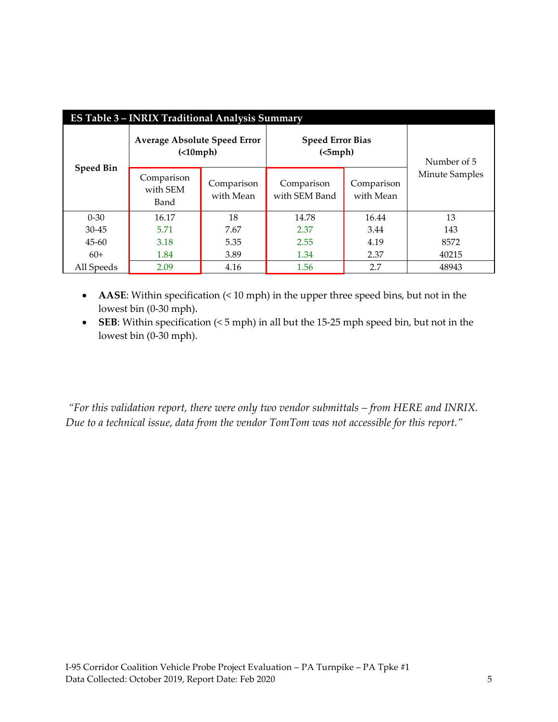<span id="page-4-1"></span>

| <b>ES Table 3 - INRIX Traditional Analysis Summary</b> |                                                    |                         |                                     |                         |                |  |  |  |
|--------------------------------------------------------|----------------------------------------------------|-------------------------|-------------------------------------|-------------------------|----------------|--|--|--|
| <b>Speed Bin</b>                                       | <b>Average Absolute Speed Error</b><br>$( 10 mph)$ |                         | <b>Speed Error Bias</b><br>(<5 mph) | Number of 5             |                |  |  |  |
|                                                        | Comparison<br>with SEM<br>Band                     | Comparison<br>with Mean | Comparison<br>with SEM Band         | Comparison<br>with Mean | Minute Samples |  |  |  |
| $0 - 30$                                               | 16.17                                              | 18                      | 14.78                               | 16.44                   | 13             |  |  |  |
| $30 - 45$                                              | 5.71                                               | 7.67                    | 2.37                                | 3.44                    | 143            |  |  |  |
| $45 - 60$                                              | 3.18                                               | 5.35                    | 2.55                                | 4.19                    | 8572           |  |  |  |
| $60+$                                                  | 1.84                                               | 3.89                    | 1.34                                | 2.37                    | 40215          |  |  |  |
| All Speeds                                             | 2.09                                               | 4.16                    | 1.56                                | 2.7                     | 48943          |  |  |  |

- **AASE**: Within specification (< 10 mph) in the upper three speed bins, but not in the lowest bin (0-30 mph).
- **SEB**: Within specification (< 5 mph) in all but the 15-25 mph speed bin, but not in the lowest bin (0-30 mph).

<span id="page-4-0"></span>*"For this validation report, there were only two vendor submittals – from HERE and INRIX. Due to a technical issue, data from the vendor TomTom was not accessible for this report."*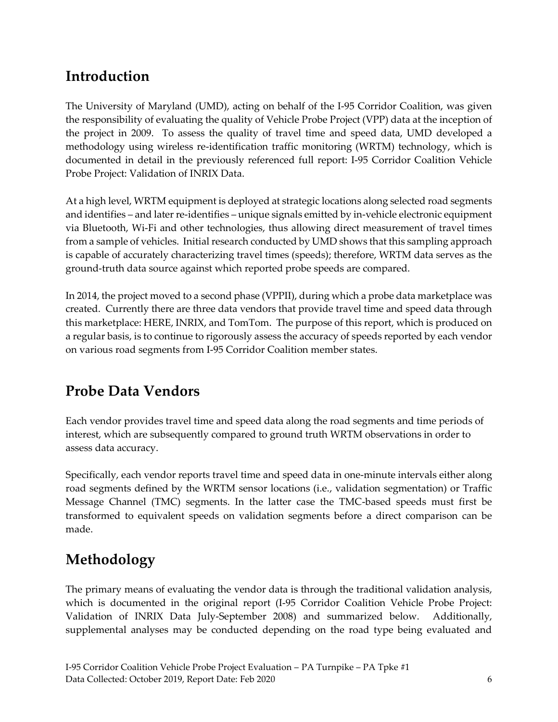# **Introduction**

The University of Maryland (UMD), acting on behalf of the I-95 Corridor Coalition, was given the responsibility of evaluating the quality of Vehicle Probe Project (VPP) data at the inception of the project in 2009. To assess the quality of travel time and speed data, UMD developed a methodology using wireless re-identification traffic monitoring (WRTM) technology, which is documented in detail in the previously referenced full report: I-95 Corridor Coalition Vehicle Probe Project: Validation of INRIX Data.

At a high level, WRTM equipment is deployed at strategic locations along selected road segments and identifies – and later re-identifies – unique signals emitted by in-vehicle electronic equipment via Bluetooth, Wi-Fi and other technologies, thus allowing direct measurement of travel times from a sample of vehicles. Initial research conducted by UMD shows that this sampling approach is capable of accurately characterizing travel times (speeds); therefore, WRTM data serves as the ground-truth data source against which reported probe speeds are compared.

In 2014, the project moved to a second phase (VPPII), during which a probe data marketplace was created. Currently there are three data vendors that provide travel time and speed data through this marketplace: HERE, INRIX, and TomTom. The purpose of this report, which is produced on a regular basis, is to continue to rigorously assess the accuracy of speeds reported by each vendor on various road segments from I-95 Corridor Coalition member states.

# <span id="page-5-0"></span>**Probe Data Vendors**

Each vendor provides travel time and speed data along the road segments and time periods of interest, which are subsequently compared to ground truth WRTM observations in order to assess data accuracy.

Specifically, each vendor reports travel time and speed data in one-minute intervals either along road segments defined by the WRTM sensor locations (i.e., validation segmentation) or Traffic Message Channel (TMC) segments. In the latter case the TMC-based speeds must first be transformed to equivalent speeds on validation segments before a direct comparison can be made.

# <span id="page-5-1"></span>**Methodology**

The primary means of evaluating the vendor data is through the traditional validation analysis, which is documented in the original report (I-95 Corridor Coalition Vehicle Probe Project: Validation of INRIX Data July-September 2008) and summarized below. Additionally, supplemental analyses may be conducted depending on the road type being evaluated and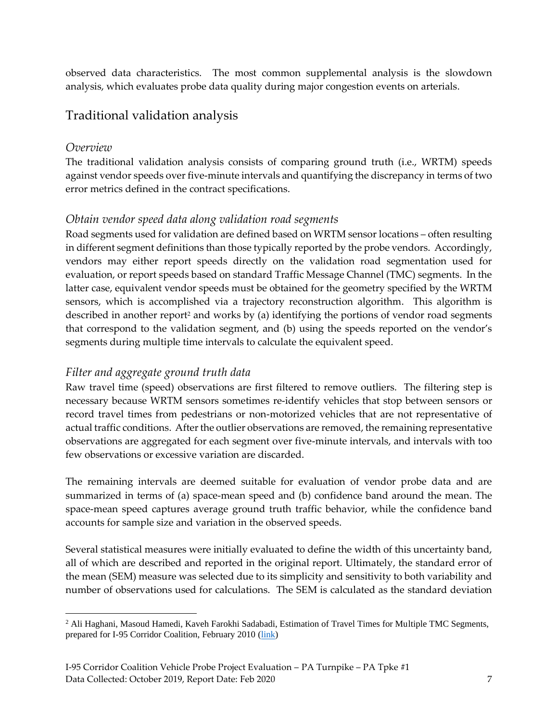observed data characteristics. The most common supplemental analysis is the slowdown analysis, which evaluates probe data quality during major congestion events on arterials.

### <span id="page-6-0"></span>Traditional validation analysis

### <span id="page-6-1"></span>*Overview*

The traditional validation analysis consists of comparing ground truth (i.e., WRTM) speeds against vendor speeds over five-minute intervals and quantifying the discrepancy in terms of two error metrics defined in the contract specifications.

### <span id="page-6-2"></span>*Obtain vendor speed data along validation road segments*

Road segments used for validation are defined based on WRTM sensor locations – often resulting in different segment definitions than those typically reported by the probe vendors. Accordingly, vendors may either report speeds directly on the validation road segmentation used for evaluation, or report speeds based on standard Traffic Message Channel (TMC) segments. In the latter case, equivalent vendor speeds must be obtained for the geometry specified by the WRTM sensors, which is accomplished via a trajectory reconstruction algorithm. This algorithm is described in another report<sup>2</sup> and works by (a) identifying the portions of vendor road segments that correspond to the validation segment, and (b) using the speeds reported on the vendor's segments during multiple time intervals to calculate the equivalent speed.

### <span id="page-6-3"></span>*Filter and aggregate ground truth data*

Raw travel time (speed) observations are first filtered to remove outliers. The filtering step is necessary because WRTM sensors sometimes re-identify vehicles that stop between sensors or record travel times from pedestrians or non-motorized vehicles that are not representative of actual traffic conditions. After the outlier observations are removed, the remaining representative observations are aggregated for each segment over five-minute intervals, and intervals with too few observations or excessive variation are discarded.

The remaining intervals are deemed suitable for evaluation of vendor probe data and are summarized in terms of (a) space-mean speed and (b) confidence band around the mean. The space-mean speed captures average ground truth traffic behavior, while the confidence band accounts for sample size and variation in the observed speeds.

Several statistical measures were initially evaluated to define the width of this uncertainty band, all of which are described and reported in the original report. Ultimately, the standard error of the mean (SEM) measure was selected due to its simplicity and sensitivity to both variability and number of observations used for calculations. The SEM is calculated as the standard deviation

<sup>&</sup>lt;sup>2</sup> Ali Haghani, Masoud Hamedi, Kaveh Farokhi Sadabadi, Estimation of Travel Times for Multiple TMC Segments, prepared for I-95 Corridor Coalition, February 2010 [\(link\)](http://www.i95coalition.org/wp-content/uploads/2015/02/I-95-CC-Estimation-of-Travel-Times-for-Multiple-TMC-Segments-FINAL2.pdf)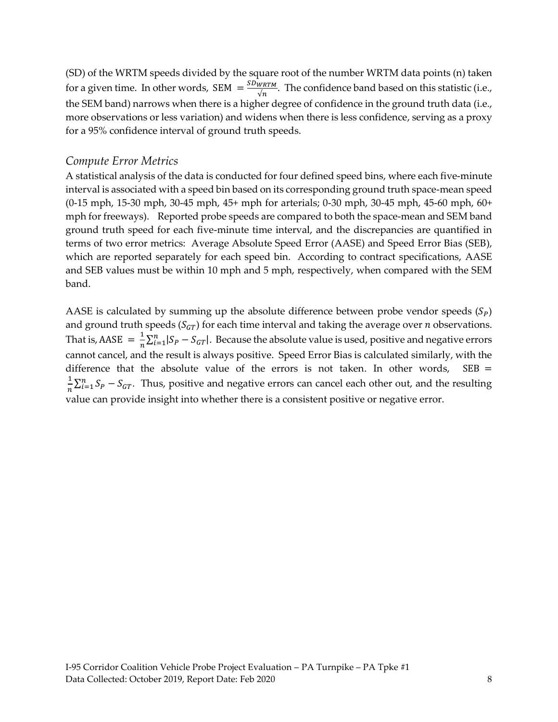(SD) of the WRTM speeds divided by the square root of the number WRTM data points (n) taken for a given time. In other words, SEM  $=\frac{SDWRTM}{\sqrt{n}}$  $\frac{WKTM}{\sqrt{n}}$ . The confidence band based on this statistic (i.e., the SEM band) narrows when there is a higher degree of confidence in the ground truth data (i.e., more observations or less variation) and widens when there is less confidence, serving as a proxy for a 95% confidence interval of ground truth speeds.

### <span id="page-7-0"></span>*Compute Error Metrics*

A statistical analysis of the data is conducted for four defined speed bins, where each five-minute interval is associated with a speed bin based on its corresponding ground truth space-mean speed (0-15 mph, 15-30 mph, 30-45 mph, 45+ mph for arterials; 0-30 mph, 30-45 mph, 45-60 mph, 60+ mph for freeways). Reported probe speeds are compared to both the space-mean and SEM band ground truth speed for each five-minute time interval, and the discrepancies are quantified in terms of two error metrics: Average Absolute Speed Error (AASE) and Speed Error Bias (SEB), which are reported separately for each speed bin. According to contract specifications, AASE and SEB values must be within 10 mph and 5 mph, respectively, when compared with the SEM band.

AASE is calculated by summing up the absolute difference between probe vendor speeds  $(S_p)$ and ground truth speeds ( $S_{GT}$ ) for each time interval and taking the average over *n* observations. That is, AASE  $=$   $\frac{1}{n}$  $\frac{1}{n}\sum_{i=1}^{n} |S_P - S_{GT}|$ . Because the absolute value is used, positive and negative errors cannot cancel, and the result is always positive. Speed Error Bias is calculated similarly, with the difference that the absolute value of the errors is not taken. In other words,  $SEB =$ 1  $\frac{1}{n}\sum_{i=1}^{n} S_p - S_{GT}$ . Thus, positive and negative errors can cancel each other out, and the resulting value can provide insight into whether there is a consistent positive or negative error.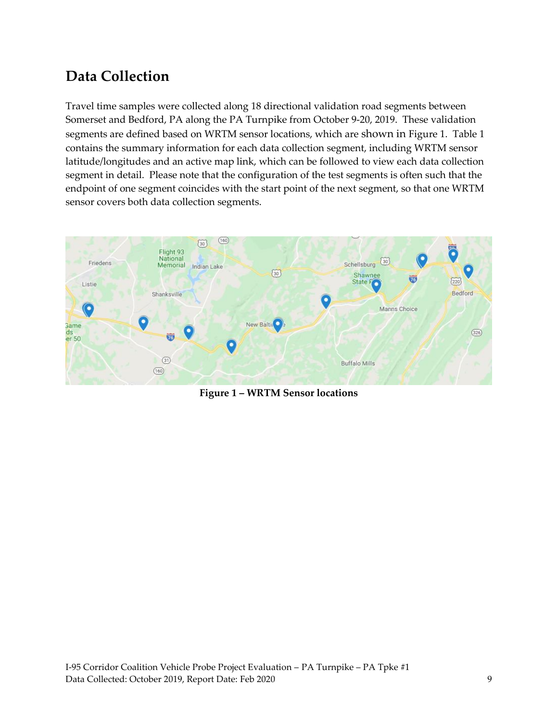# <span id="page-8-0"></span>**Data Collection**

Travel time samples were collected along 18 directional validation road segments between Somerset and Bedford, PA along the PA Turnpike from October 9-20, 2019. These validation segments are defined based on WRTM sensor locations, which are shown in Figure 1. Table 1 contains the summary information for each data collection segment, including WRTM sensor latitude/longitudes and an active map link, which can be followed to view each data collection segment in detail. Please note that the configuration of the test segments is often such that the endpoint of one segment coincides with the start point of the next segment, so that one WRTM sensor covers both data collection segments.



<span id="page-8-1"></span>**Figure 1 – WRTM Sensor locations**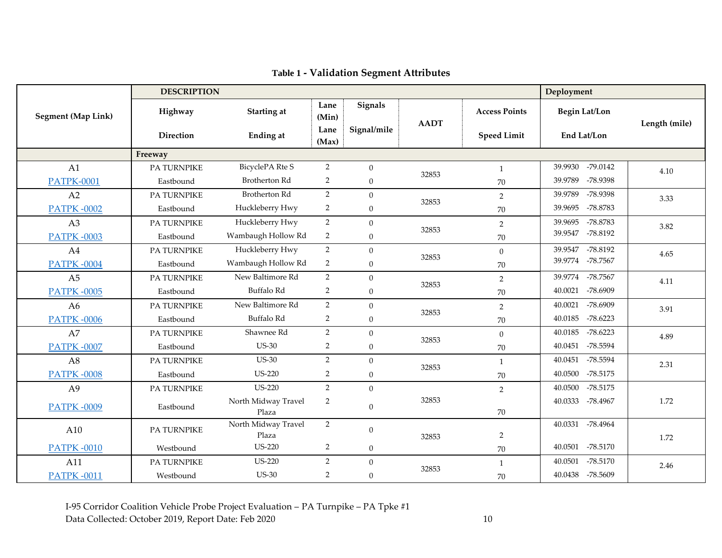<span id="page-9-0"></span>

|                           | <b>DESCRIPTION</b> |                              |                |                  |             |                      | Deployment            |               |
|---------------------------|--------------------|------------------------------|----------------|------------------|-------------|----------------------|-----------------------|---------------|
| <b>Segment (Map Link)</b> | Highway            | Starting at                  | Lane<br>(Min)  | Signals          | <b>AADT</b> | <b>Access Points</b> | <b>Begin Lat/Lon</b>  |               |
|                           | Direction          | <b>Ending at</b>             | Lane<br>(Max)  | Signal/mile      |             | <b>Speed Limit</b>   | End Lat/Lon           | Length (mile) |
|                           | Freeway            |                              |                |                  |             |                      |                       |               |
| A1                        | PA TURNPIKE        | BicyclePA Rte S              | 2              | $\mathbf{0}$     | 32853       | $\mathbf{1}$         | -79.0142<br>39.9930   | 4.10          |
| <b>PATPK-0001</b>         | Eastbound          | <b>Brotherton Rd</b>         | 2              | $\overline{0}$   |             | 70                   | 39.9789<br>-78.9398   |               |
| A <sub>2</sub>            | <b>PA TURNPIKE</b> | <b>Brotherton Rd</b>         | 2              | $\overline{0}$   |             | $\overline{2}$       | -78.9398<br>39.9789   | 3.33          |
| <b>PATPK-0002</b>         | Eastbound          | Huckleberry Hwy              | 2              | $\boldsymbol{0}$ | 32853       | $70\,$               | 39.9695<br>-78.8783   |               |
| A3                        | PA TURNPIKE        | Huckleberry Hwy              | $\overline{2}$ | $\boldsymbol{0}$ |             | $\sqrt{2}$           | -78.8783<br>39.9695   | 3.82          |
| <b>PATPK-0003</b>         | Eastbound          | Wambaugh Hollow Rd           | 2              | $\overline{0}$   | 32853       | 70                   | -78.8192<br>39.9547   |               |
| A4                        | <b>PA TURNPIKE</b> | Huckleberry Hwy              | $\overline{2}$ | $\mathbf{0}$     |             | $\theta$             | 39.9547<br>-78.8192   | 4.65          |
| <b>PATPK-0004</b>         | Eastbound          | Wambaugh Hollow Rd           | 2              | $\boldsymbol{0}$ | 32853       | $70\,$               | 39.9774 -78.7567      |               |
| A <sub>5</sub>            | PA TURNPIKE        | New Baltimore Rd             | 2              | $\boldsymbol{0}$ |             | $\overline{2}$       | 39.9774<br>-78.7567   | 4.11          |
| <b>PATPK-0005</b>         | Eastbound          | Buffalo Rd                   | 2              | $\mathbf{0}$     | 32853       | 70                   | 40.0021<br>-78.6909   |               |
| A6                        | PA TURNPIKE        | New Baltimore Rd             | $\overline{2}$ | $\overline{0}$   |             | $\overline{2}$       | 40.0021<br>-78.6909   | 3.91          |
| <b>PATPK-0006</b>         | Eastbound          | Buffalo Rd                   | 2              | $\boldsymbol{0}$ | 32853       | $70\,$               | $-78.6223$<br>40.0185 |               |
| A7                        | PA TURNPIKE        | Shawnee Rd                   | $\overline{2}$ | $\mathbf{0}$     | 32853       | $\boldsymbol{0}$     | 40.0185<br>$-78.6223$ | 4.89          |
| <b>PATPK-0007</b>         | Eastbound          | <b>US-30</b>                 | 2              | $\overline{0}$   |             | 70                   | -78.5594<br>40.0451   |               |
| A8                        | PA TURNPIKE        | <b>US-30</b>                 | 2              | $\boldsymbol{0}$ |             | -1                   | -78.5594<br>40.0451   | 2.31          |
| <b>PATPK-0008</b>         | Eastbound          | <b>US-220</b>                | 2              | $\boldsymbol{0}$ | 32853       | $70\,$               | 40.0500<br>$-78.5175$ |               |
| A <sub>9</sub>            | PA TURNPIKE        | <b>US-220</b>                | $\overline{2}$ | $\boldsymbol{0}$ |             | $\overline{2}$       | 40.0500<br>$-78.5175$ |               |
| <b>PATPK-0009</b>         | Eastbound          | North Midway Travel<br>Plaza | 2              | $\mathbf{0}$     | 32853       | 70                   | 40.0333<br>-78.4967   | 1.72          |
| A10                       | PA TURNPIKE        | North Midway Travel<br>Plaza | $\overline{2}$ | $\mathbf{0}$     | 32853       | $\overline{2}$       | 40.0331<br>-78.4964   | 1.72          |
| <b>PATPK-0010</b>         | Westbound          | <b>US-220</b>                | $\overline{2}$ | $\boldsymbol{0}$ |             | 70                   | 40.0501<br>-78.5170   |               |
| A11                       | PA TURNPIKE        | <b>US-220</b>                | 2              | $\mathbf{0}$     |             | $\overline{1}$       | $-78.5170$<br>40.0501 | 2.46          |
| <b>PATPK-0011</b>         | Westbound          | <b>US-30</b>                 | 2              | $\boldsymbol{0}$ | 32853       | 70                   | 40.0438 -78.5609      |               |

**Table 1 - Validation Segment Attributes**

I-95 Corridor Coalition Vehicle Probe Project Evaluation – PA Turnpike – PA Tpke #1 Data Collected: October 2019, Report Date: Feb 2020 10 10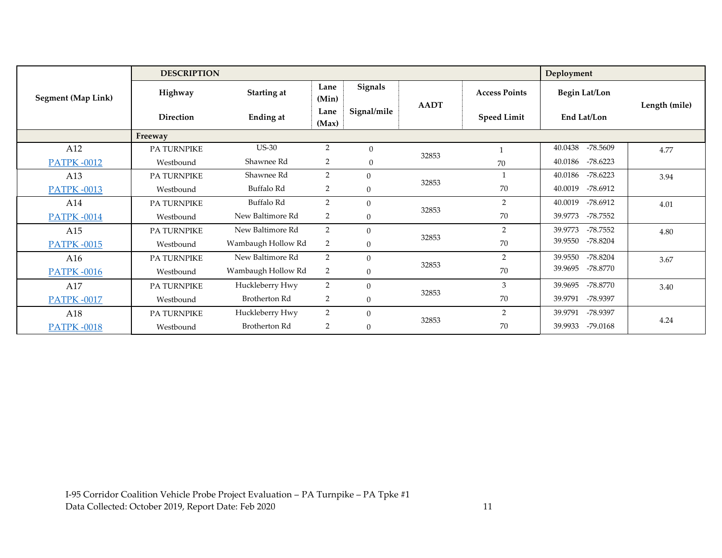|                           |                    | <b>DESCRIPTION</b>   |                              |                |                    |                      |                       |               |
|---------------------------|--------------------|----------------------|------------------------------|----------------|--------------------|----------------------|-----------------------|---------------|
| <b>Segment (Map Link)</b> | Highway            | Starting at          | Lane<br>(Min)                | <b>Signals</b> | <b>AADT</b>        | <b>Access Points</b> | <b>Begin Lat/Lon</b>  | Length (mile) |
|                           | <b>Direction</b>   | <b>Ending at</b>     | Signal/mile<br>Lane<br>(Max) |                | <b>Speed Limit</b> | End Lat/Lon          |                       |               |
|                           | Freeway            |                      |                              |                |                    |                      |                       |               |
| A12                       | PA TURNPIKE        | <b>US-30</b>         | 2                            | $\overline{0}$ | 32853              |                      | -78.5609<br>40.0438   | 4.77          |
| <b>PATPK-0012</b>         | Westbound          | Shawnee Rd           | 2                            | $\mathbf{0}$   |                    | 70                   | 40.0186<br>$-78.6223$ |               |
| A13                       | PA TURNPIKE        | Shawnee Rd           | 2                            | $\overline{0}$ |                    | -1                   | $-78.6223$<br>40.0186 | 3.94          |
| <b>PATPK-0013</b>         | Westbound          | Buffalo Rd           | 2                            | $\mathbf{0}$   | 32853              | 70                   | $-78.6912$<br>40.0019 |               |
| A14                       | <b>PA TURNPIKE</b> | Buffalo Rd           | 2                            | $\mathbf{0}$   |                    | 2                    | $-78.6912$<br>40.0019 | 4.01          |
| <b>PATPK-0014</b>         | Westbound          | New Baltimore Rd     | 2                            | $\mathbf{0}$   | 32853              | 70                   | 39.9773<br>-78.7552   |               |
| A15                       | PA TURNPIKE        | New Baltimore Rd     | 2                            | $\overline{0}$ |                    | $\overline{2}$       | $-78.7552$<br>39.9773 | 4.80          |
| <b>PATPK-0015</b>         | Westbound          | Wambaugh Hollow Rd   | 2                            | $\mathbf{0}$   | 32853              | 70                   | 39.9550<br>$-78.8204$ |               |
| A16                       | PA TURNPIKE        | New Baltimore Rd     | 2                            | $\theta$       |                    | $\overline{2}$       | $-78.8204$<br>39.9550 | 3.67          |
| <b>PATPK-0016</b>         | Westbound          | Wambaugh Hollow Rd   | 2                            | $\mathbf{0}$   | 32853              | 70                   | 39.9695<br>-78.8770   |               |
| A17                       | <b>PA TURNPIKE</b> | Huckleberry Hwy      | 2                            | $\overline{0}$ |                    | 3                    | -78.8770<br>39.9695   | 3.40          |
| <b>PATPK-0017</b>         | Westbound          | <b>Brotherton Rd</b> | 2                            | $\mathbf{0}$   | 32853              | 70                   | 39.9791<br>-78.9397   |               |
| A18                       | <b>PA TURNPIKE</b> | Huckleberry Hwy      | 2                            | $\mathbf{0}$   |                    | $\mathcal{P}$        | -78.9397<br>39.9791   |               |
| <b>PATPK-0018</b>         | Westbound          | <b>Brotherton Rd</b> | $\overline{2}$               | $\mathbf{0}$   | 32853              | 70                   | $-79.0168$<br>39.9933 | 4.24          |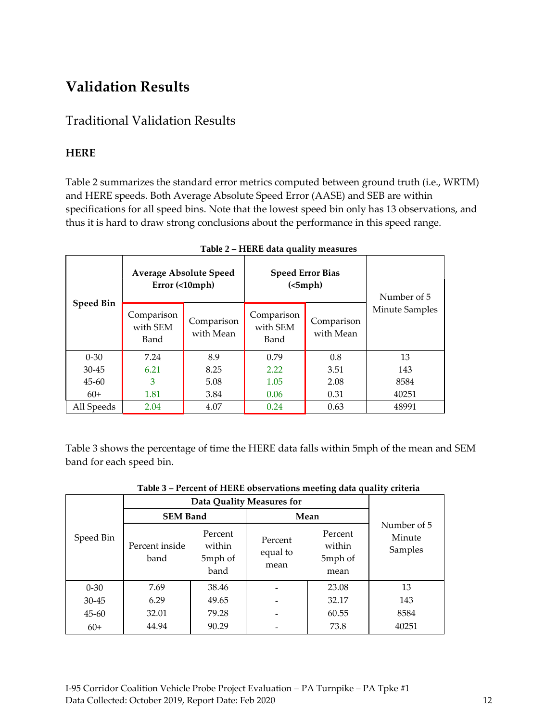# <span id="page-11-0"></span>**Validation Results**

### <span id="page-11-1"></span>Traditional Validation Results

### <span id="page-11-2"></span>**HERE**

Table 2 summarizes the standard error metrics computed between ground truth (i.e., WRTM) and HERE speeds. Both Average Absolute Speed Error (AASE) and SEB are within specifications for all speed bins. Note that the lowest speed bin only has 13 observations, and thus it is hard to draw strong conclusions about the performance in this speed range.

<span id="page-11-3"></span>

|                  | <b>Average Absolute Speed</b><br>Error (<10mph) |                         | <b>Speed Error Bias</b><br>(<5 mph) | Number of 5             |                       |
|------------------|-------------------------------------------------|-------------------------|-------------------------------------|-------------------------|-----------------------|
| <b>Speed Bin</b> | Comparison<br>with SEM<br>Band                  | Comparison<br>with Mean | Comparison<br>with SEM<br>Band      | Comparison<br>with Mean | <b>Minute Samples</b> |
| $0 - 30$         | 7.24                                            | 8.9                     | 0.79                                | 0.8                     | 13                    |
| $30 - 45$        | 6.21                                            | 8.25                    | 2.22                                | 3.51                    | 143                   |
| $45 - 60$        | 3                                               | 5.08                    | 1.05                                | 2.08                    | 8584                  |
| $60+$            | 1.81                                            | 3.84                    | 0.06                                | 0.31                    | 40251                 |
| All Speeds       | 2.04                                            | 4.07                    | 0.24                                | 0.63                    | 48991                 |

#### **Table 2 – HERE data quality measures**

Table 3 shows the percentage of time the HERE data falls within 5mph of the mean and SEM band for each speed bin.

<span id="page-11-4"></span>

|           | Data Quality Measures for |                                      |                             |                                      |                                  |
|-----------|---------------------------|--------------------------------------|-----------------------------|--------------------------------------|----------------------------------|
|           | <b>SEM Band</b>           |                                      | Mean                        |                                      |                                  |
| Speed Bin | Percent inside<br>band    | Percent<br>within<br>5mph of<br>band | Percent<br>equal to<br>mean | Percent<br>within<br>5mph of<br>mean | Number of 5<br>Minute<br>Samples |
| $0 - 30$  | 7.69                      | 38.46                                |                             | 23.08                                | 13                               |
| $30 - 45$ | 6.29                      | 49.65                                |                             | 32.17                                | 143                              |
| $45 - 60$ | 32.01                     | 79.28                                |                             | 60.55                                | 8584                             |
| $60+$     | 44.94                     | 90.29                                |                             | 73.8                                 | 40251                            |

**Table 3 – Percent of HERE observations meeting data quality criteria**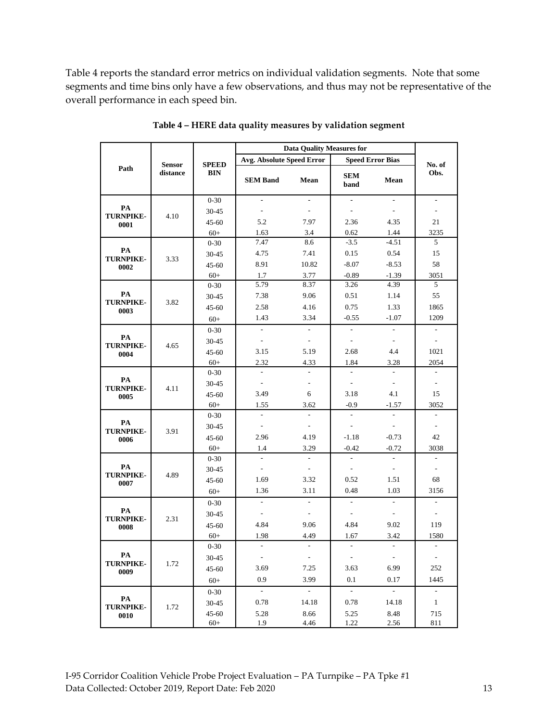Table 4 reports the standard error metrics on individual validation segments. Note that some segments and time bins only have a few observations, and thus may not be representative of the overall performance in each speed bin.

<span id="page-12-0"></span>

|                                |               |                            | <b>Data Quality Measures for</b> |                          |                             |                          |                          |
|--------------------------------|---------------|----------------------------|----------------------------------|--------------------------|-----------------------------|--------------------------|--------------------------|
|                                | <b>Sensor</b> |                            | <b>Avg. Absolute Speed Error</b> |                          |                             | <b>Speed Error Bias</b>  | No. of                   |
| Path                           | distance      | <b>SPEED</b><br><b>BIN</b> | <b>SEM Band</b>                  | Mean                     | <b>SEM</b><br>band          | Mean                     | Obs.                     |
|                                |               | $0 - 30$                   |                                  |                          |                             |                          |                          |
| PA<br><b>TURNPIKE-</b><br>0001 | 4.10          | 30-45                      |                                  |                          | $\overline{\phantom{a}}$    | $\overline{\phantom{a}}$ |                          |
|                                |               | $45 - 60$                  | 5.2                              | 7.97                     | 2.36                        | 4.35                     | 21                       |
|                                |               | $60+$                      | 1.63                             | 3.4                      | 0.62                        | 1.44                     | 3235                     |
|                                |               | $0 - 30$                   | 7.47                             | 8.6                      | $-3.5$                      | $-4.51$                  | 5                        |
| PA<br><b>TURNPIKE-</b>         | 3.33          | $30 - 45$                  | 4.75                             | 7.41                     | 0.15                        | 0.54                     | 15                       |
| 0002                           |               | $45 - 60$                  | 8.91                             | 10.82                    | $-8.07$                     | $-8.53$                  | 58                       |
|                                |               | $60+$                      | 1.7                              | 3.77                     | $-0.89$                     | $-1.39$                  | 3051                     |
|                                |               | $0 - 30$                   | 5.79                             | 8.37                     | 3.26                        | 4.39                     | 5                        |
| PA                             | 3.82          | 30-45                      | 7.38                             | 9.06                     | 0.51                        | 1.14                     | 55                       |
| <b>TURNPIKE-</b><br>0003       |               | 45-60                      | 2.58                             | 4.16                     | 0.75                        | 1.33                     | 1865                     |
|                                |               | $60+$                      | 1.43                             | 3.34                     | $-0.55$                     | $-1.07$                  | 1209                     |
|                                |               | $0 - 30$                   | $\overline{a}$                   | $\overline{a}$           | $\overline{a}$              | $\overline{a}$           | $\overline{a}$           |
| PA<br><b>TURNPIKE-</b><br>0004 | 4.65          | $30 - 45$                  | $\overline{a}$                   | $\overline{\phantom{a}}$ | $\overline{\phantom{a}}$    |                          | ÷.                       |
|                                |               | $45 - 60$                  | 3.15                             | 5.19                     | 2.68                        | 4.4                      | 1021                     |
|                                |               | $60+$                      | 2.32                             | 4.33                     | 1.84                        | 3.28                     | 2054                     |
|                                | 4.11          | $0 - 30$                   | $\mathcal{L}$                    |                          | $\overline{\phantom{a}}$    | $\overline{\phantom{a}}$ | ÷,                       |
| PA                             |               | 30-45                      | $\overline{\phantom{a}}$         |                          | $\overline{\phantom{a}}$    | $\frac{1}{2}$            | $\overline{\phantom{a}}$ |
| <b>TURNPIKE-</b><br>0005       |               | $45 - 60$                  | 3.49                             | 6                        | 3.18                        | 4.1                      | 15                       |
|                                |               | $60+$                      | 1.55                             | 3.62                     | $-0.9$                      | $-1.57$                  | 3052                     |
|                                | 3.91          | $0 - 30$                   | $\overline{\phantom{a}}$         | $\mathbf{r}$             | $\overline{\phantom{a}}$    | $\overline{a}$           | ÷,                       |
| PA<br><b>TURNPIKE-</b>         |               | 30-45                      | $\blacksquare$                   | $\overline{\phantom{a}}$ | $\overline{\phantom{a}}$    | $\overline{\phantom{a}}$ | $\frac{1}{2}$            |
| 0006                           |               | $45 - 60$                  | 2.96                             | 4.19                     | $-1.18$                     | $-0.73$                  | 42                       |
|                                |               | $60+$                      | 1.4                              | 3.29                     | $-0.42$                     | $-0.72$                  | 3038                     |
|                                |               | $0 - 30$                   | $\mathcal{L}$                    | $\sim$                   | $\overline{\phantom{a}}$    | $\sim$                   | $\overline{\phantom{a}}$ |
| PA                             |               | 30-45                      | $\overline{\phantom{a}}$         | $\overline{\phantom{a}}$ | $\overline{\phantom{a}}$    | $\frac{1}{2}$            | ÷,                       |
| <b>TURNPIKE-</b><br>0007       | 4.89          | $45 - 60$                  | 1.69                             | 3.32                     | 0.52                        | 1.51                     | 68                       |
|                                |               | $60+$                      | 1.36                             | 3.11                     | 0.48                        | 1.03                     | 3156                     |
|                                |               | $0 - 30$                   | $\overline{\phantom{a}}$         | $\sim$                   | $\frac{1}{2}$               | $\overline{\phantom{a}}$ | L.                       |
| PA                             |               | $30 - 45$                  | $\overline{\phantom{a}}$         | $\overline{\phantom{a}}$ | ÷                           | $\overline{\phantom{a}}$ | ۰                        |
| <b>TURNPIKE-</b><br>0008       | 2.31          | $45 - 60$                  | 4.84                             | 9.06                     | 4.84                        | 9.02                     | 119                      |
|                                |               | $60+$                      | 1.98                             | 4.49                     | 1.67                        | 3.42                     | 1580                     |
|                                |               | $0 - 30$                   |                                  |                          | $\overline{\phantom{a}}$    | $\overline{\phantom{a}}$ | L.                       |
| PA                             |               | $30 - 45$                  | $\sim$                           | $\sim$                   | $\Box$                      | $\blacksquare$           | $\overline{\phantom{a}}$ |
| <b>TURNPIKE-</b>               | 1.72          | 45-60                      | 3.69                             | 7.25                     | 3.63                        | 6.99                     | 252                      |
| 0009                           |               | $60+$                      | 0.9                              | 3.99                     | 0.1                         | 0.17                     | 1445                     |
|                                |               | $0-30$                     | $\mathbb{Z}^{\mathbb{Z}}$        | $\omega$                 | $\mathcal{L}_{\mathcal{A}}$ | $\mathcal{L}^{\pm}$      | $\Box$                   |
| PA                             |               | 30-45                      | 0.78                             | 14.18                    | 0.78                        | 14.18                    | $\mathbf{1}$             |
| <b>TURNPIKE-</b>               | 1.72          | 45-60                      | 5.28                             | 8.66                     | 5.25                        | 8.48                     | 715                      |
| 0010                           |               | $60+$                      | 1.9                              | 4.46                     | 1.22                        | 2.56                     | 811                      |

**Table 4 – HERE data quality measures by validation segment**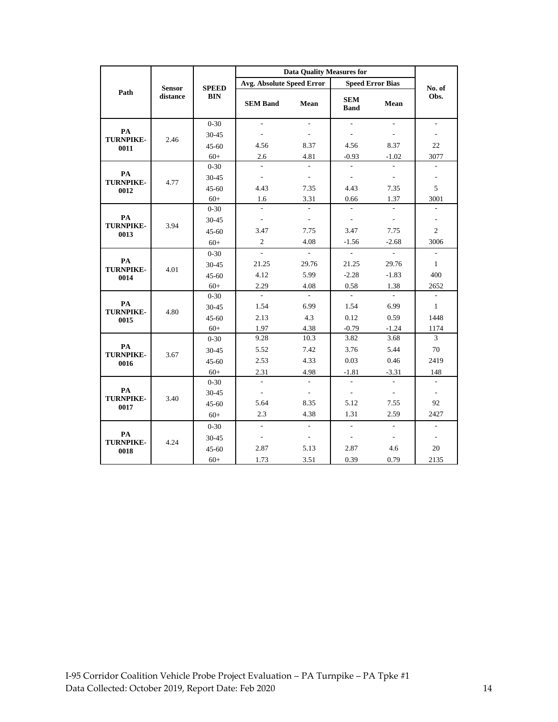|                                | <b>Sensor</b><br>distance | <b>SPEED</b><br><b>BIN</b> | <b>Data Quality Measures for</b> |                             |                           |                          |                          |
|--------------------------------|---------------------------|----------------------------|----------------------------------|-----------------------------|---------------------------|--------------------------|--------------------------|
|                                |                           |                            | <b>Avg. Absolute Speed Error</b> |                             | <b>Speed Error Bias</b>   |                          | No. of                   |
| Path                           |                           |                            | <b>SEM Band</b>                  | Mean                        | <b>SEM</b><br><b>Band</b> | Mean                     | Obs.                     |
| PA<br><b>TURNPIKE-</b><br>0011 |                           | $0 - 30$                   | ÷                                |                             | $\overline{\phantom{a}}$  | $\overline{\phantom{a}}$ | $\overline{\phantom{a}}$ |
|                                | 2.46                      | $30 - 45$                  |                                  |                             | $\overline{a}$            |                          | L,                       |
|                                |                           | $45 - 60$                  | 4.56                             | 8.37                        | 4.56                      | 8.37                     | 22                       |
|                                |                           | $60+$                      | 2.6                              | 4.81                        | $-0.93$                   | $-1.02$                  | 3077                     |
|                                |                           | $0 - 30$                   | ÷                                | ÷                           | $\overline{\phantom{a}}$  | $\overline{a}$           | ÷,                       |
| PA<br><b>TURNPIKE-</b>         | 4.77                      | 30-45                      | ÷.                               | $\overline{a}$              | $\frac{1}{2}$             | $\overline{\phantom{a}}$ | ÷,                       |
| 0012                           |                           | $45 - 60$                  | 4.43                             | 7.35                        | 4.43                      | 7.35                     | 5                        |
|                                |                           | $60+$                      | 1.6                              | 3.31                        | 0.66                      | 1.37                     | 3001                     |
|                                |                           | $0 - 30$                   |                                  |                             | $\overline{\phantom{a}}$  |                          | $\overline{a}$           |
| PA<br><b>TURNPIKE-</b>         | 3.94                      | 30-45                      | $\overline{a}$                   | ÷,                          | $\blacksquare$            | $\overline{\phantom{a}}$ | L,                       |
| 0013                           |                           | $45 - 60$                  | 3.47                             | 7.75                        | 3.47                      | 7.75                     | $\overline{2}$           |
|                                |                           | $60+$                      | $\sqrt{2}$                       | 4.08                        | $-1.56$                   | $-2.68$                  | 3006                     |
|                                | 4.01                      | $0 - 30$                   |                                  | $\overline{\phantom{a}}$    | ÷,                        | $\overline{\phantom{a}}$ | $\blacksquare$           |
| PA<br><b>TURNPIKE-</b>         |                           | 30-45                      | 21.25                            | 29.76                       | 21.25                     | 29.76                    | $\mathbf{1}$             |
| 0014                           |                           | $45 - 60$                  | 4.12                             | 5.99                        | $-2.28$                   | $-1.83$                  | 400                      |
|                                |                           | $60+$                      | 2.29                             | 4.08                        | 0.58                      | 1.38                     | 2652                     |
|                                | 4.80                      | $0 - 30$                   |                                  |                             |                           |                          | ÷,                       |
| PA<br><b>TURNPIKE-</b>         |                           | 30-45                      | 1.54                             | 6.99                        | 1.54                      | 6.99                     | $\mathbf{1}$             |
| 0015                           |                           | $45 - 60$                  | 2.13                             | 4.3                         | 0.12                      | 0.59                     | 1448                     |
|                                |                           | $60+$                      | 1.97                             | 4.38                        | $-0.79$                   | $-1.24$                  | 1174                     |
| PA<br><b>TURNPIKE-</b>         | 3.67                      | $0 - 30$                   | 9.28                             | 10.3                        | 3.82                      | 3.68                     | 3                        |
|                                |                           | 30-45                      | 5.52                             | 7.42                        | 3.76                      | 5.44                     | $70\,$                   |
| 0016                           |                           | $45 - 60$                  | 2.53                             | 4.33                        | 0.03                      | 0.46                     | 2419                     |
|                                |                           | $60+$                      | 2.31                             | 4.98                        | $-1.81$                   | $-3.31$                  | 148                      |
|                                |                           | $0 - 30$                   | $\overline{\phantom{a}}$         |                             | $\overline{a}$            |                          | ÷,                       |
| PA<br><b>TURNPIKE-</b>         | 3.40                      | 30-45                      | $\overline{a}$                   |                             | $\frac{1}{2}$             | $\overline{a}$           | ÷,                       |
| 0017                           |                           | $45 - 60$                  | 5.64                             | 8.35                        | 5.12                      | 7.55                     | 92                       |
|                                |                           | $60+$                      | 2.3                              | 4.38                        | 1.31                      | 2.59                     | 2427                     |
|                                |                           | $0 - 30$                   | $\overline{a}$                   | $\mathcal{L}^{\mathcal{A}}$ | ä,                        | $\overline{a}$           | L.                       |
| PA                             | 4.24                      | 30-45                      | $\overline{\phantom{a}}$         | $\overline{\phantom{a}}$    | $\frac{1}{2}$             | $\overline{\phantom{a}}$ | $\overline{\phantom{a}}$ |
| <b>TURNPIKE-</b><br>0018       |                           | $45 - 60$                  | 2.87                             | 5.13                        | 2.87                      | 4.6                      | 20                       |
|                                |                           | $60+$                      | 1.73                             | 3.51                        | 0.39                      | 0.79                     | 2135                     |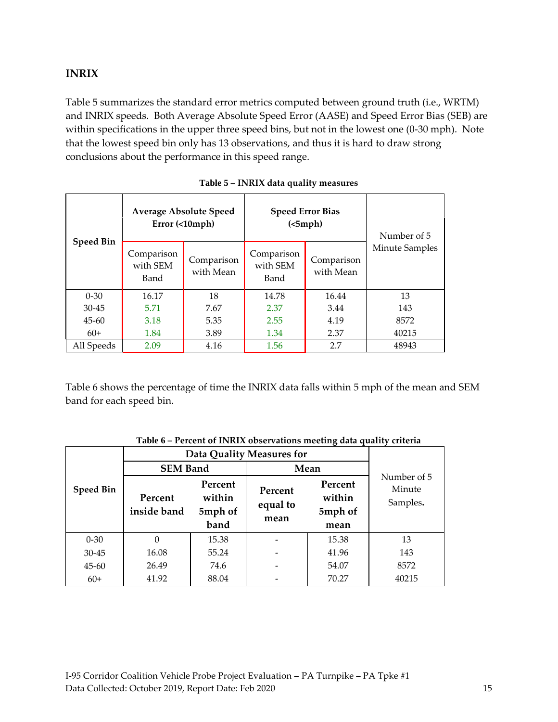### <span id="page-14-0"></span>**INRIX**

Table 5 summarizes the standard error metrics computed between ground truth (i.e., WRTM) and INRIX speeds. Both Average Absolute Speed Error (AASE) and Speed Error Bias (SEB) are within specifications in the upper three speed bins, but not in the lowest one (0-30 mph). Note that the lowest speed bin only has 13 observations, and thus it is hard to draw strong conclusions about the performance in this speed range.

<span id="page-14-1"></span>

| <b>Speed Bin</b> |                                | <b>Average Absolute Speed</b><br>$Error ( \langle10mph)$ | <b>Speed Error Bias</b><br>(<5 mph) | Number of 5             |                       |
|------------------|--------------------------------|----------------------------------------------------------|-------------------------------------|-------------------------|-----------------------|
|                  | Comparison<br>with SEM<br>Band | Comparison<br>with Mean                                  | Comparison<br>with SEM<br>Band      | Comparison<br>with Mean | <b>Minute Samples</b> |
| $0 - 30$         | 16.17                          | 18                                                       | 14.78                               | 16.44                   | 13                    |
| $30-45$          | 5.71                           | 7.67                                                     | 2.37                                | 3.44                    | 143                   |
| $45 - 60$        | 3.18                           | 5.35                                                     | 2.55                                | 4.19                    | 8572                  |
| $60+$            | 1.84                           | 3.89                                                     | 1.34                                | 2.37                    | 40215                 |
| All Speeds       | 2.09                           | 4.16                                                     | 1.56                                | 2.7                     | 48943                 |

Table 6 shows the percentage of time the INRIX data falls within 5 mph of the mean and SEM band for each speed bin.

<span id="page-14-2"></span>

|                  | I creent of 11 thirt observations incenting anta quality effective<br>Data Quality Measures for |                                      |                             |                                      |                                   |
|------------------|-------------------------------------------------------------------------------------------------|--------------------------------------|-----------------------------|--------------------------------------|-----------------------------------|
| <b>Speed Bin</b> | <b>SEM Band</b>                                                                                 |                                      | Mean                        |                                      |                                   |
|                  | Percent<br>inside band                                                                          | Percent<br>within<br>5mph of<br>band | Percent<br>equal to<br>mean | Percent<br>within<br>5mph of<br>mean | Number of 5<br>Minute<br>Samples. |
|                  |                                                                                                 |                                      |                             |                                      |                                   |
| $0 - 30$         | 0                                                                                               | 15.38                                |                             | 15.38                                | 13                                |
| $30 - 45$        | 16.08                                                                                           | 55.24                                |                             | 41.96                                | 143                               |
| $45 - 60$        | 26.49                                                                                           | 74.6                                 |                             | 54.07                                | 8572                              |

#### **Table 6 – Percent of INRIX observations meeting data quality criteria**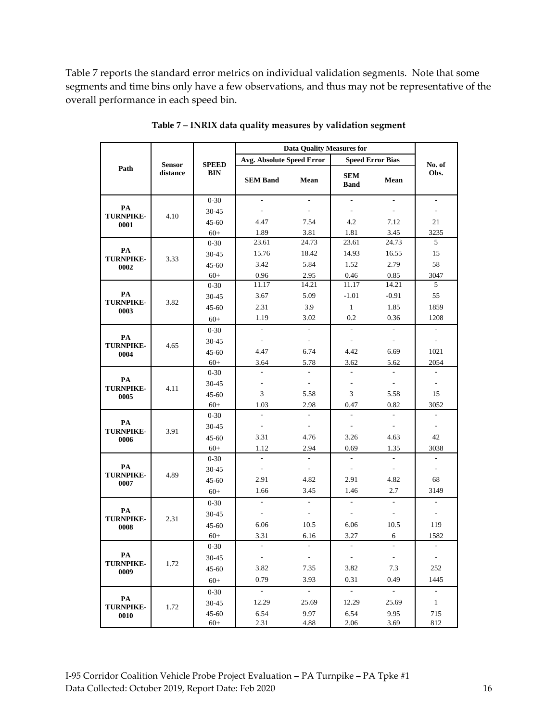Table 7 reports the standard error metrics on individual validation segments. Note that some segments and time bins only have a few observations, and thus may not be representative of the overall performance in each speed bin.

<span id="page-15-0"></span>

|                                | <b>Sensor</b><br>distance | <b>SPEED</b><br><b>BIN</b> | <b>Data Quality Measures for</b> |                          |                           |                          |                              |
|--------------------------------|---------------------------|----------------------------|----------------------------------|--------------------------|---------------------------|--------------------------|------------------------------|
|                                |                           |                            | <b>Avg. Absolute Speed Error</b> |                          | <b>Speed Error Bias</b>   |                          |                              |
| Path                           |                           |                            | <b>SEM Band</b>                  | Mean                     | <b>SEM</b><br><b>Band</b> | Mean                     | No. of<br>Obs.               |
|                                |                           | $0 - 30$                   |                                  |                          | ÷,                        |                          | ÷,                           |
| PA<br><b>TURNPIKE-</b>         | 4.10                      | $30 - 45$                  |                                  | $\sim$                   | $\overline{\phantom{a}}$  | $\overline{a}$           | $\overline{\phantom{a}}$     |
| 0001                           |                           | $45 - 60$                  | 4.47                             | 7.54                     | 4.2                       | 7.12                     | 21                           |
|                                |                           | $60+$                      | 1.89                             | 3.81                     | 1.81                      | 3.45                     | 3235                         |
| PA<br><b>TURNPIKE-</b>         |                           | $0 - 30$                   | 23.61                            | 24.73                    | 23.61                     | 24.73                    | 5                            |
|                                | 3.33                      | $30 - 45$                  | 15.76                            | 18.42                    | 14.93                     | 16.55                    | 15                           |
| 0002                           |                           | $45 - 60$                  | 3.42                             | 5.84                     | 1.52                      | 2.79                     | 58                           |
|                                |                           | $60+$                      | 0.96                             | 2.95                     | 0.46                      | 0.85                     | 3047                         |
|                                |                           | $0 - 30$                   | 11.17                            | 14.21                    | 11.17                     | 14.21                    | 5                            |
| PA<br><b>TURNPIKE-</b>         | 3.82                      | 30-45                      | 3.67                             | 5.09                     | $-1.01$                   | $-0.91$                  | 55                           |
| 0003                           |                           | $45 - 60$                  | 2.31                             | 3.9                      | $\mathbf{1}$              | 1.85                     | 1859                         |
|                                |                           | $60+$                      | 1.19                             | 3.02                     | 0.2                       | 0.36                     | 1208                         |
|                                |                           | $0 - 30$                   | $\overline{a}$                   | $\overline{a}$           | L.                        | $\overline{a}$           | $\overline{a}$               |
| PA<br><b>TURNPIKE-</b>         | 4.65                      | $30 - 45$                  | $\overline{\phantom{a}}$         | $\overline{\phantom{a}}$ | $\overline{\phantom{a}}$  | $\overline{a}$           | $\overline{\phantom{a}}$     |
| 0004                           |                           | $45 - 60$                  | 4.47                             | 6.74                     | 4.42                      | 6.69                     | 1021                         |
|                                |                           | $60+$                      | 3.64                             | 5.78                     | 3.62                      | 5.62                     | 2054                         |
|                                | 4.11                      | $0 - 30$                   | $\overline{\phantom{a}}$         | $\mathbf{r}$             | $\overline{\phantom{a}}$  | $\overline{a}$           | $\overline{\phantom{a}}$     |
| PA<br><b>TURNPIKE-</b>         |                           | 30-45                      | $\sim$                           | $\overline{\phantom{a}}$ | ÷,                        | $\frac{1}{2}$            | $\blacksquare$               |
| 0005                           |                           | $45 - 60$                  | 3                                | 5.58                     | 3                         | 5.58                     | 15                           |
|                                |                           | $60+$                      | 1.03                             | 2.98                     | 0.47                      | 0.82                     | 3052                         |
| PA<br><b>TURNPIKE-</b><br>0006 |                           | $0 - 30$                   | $\overline{a}$                   | $\sim$                   | $\overline{\phantom{a}}$  | $\overline{\phantom{a}}$ | ÷,                           |
|                                | 3.91                      | 30-45                      | $\overline{\phantom{a}}$         | $\overline{\phantom{a}}$ | $\blacksquare$            | $\blacksquare$           | $\qquad \qquad \blacksquare$ |
|                                |                           | $45 - 60$                  | 3.31                             | 4.76                     | 3.26                      | 4.63                     | 42                           |
|                                |                           | $60+$                      | 1.12                             | 2.94                     | 0.69                      | 1.35                     | 3038                         |
| PA<br><b>TURNPIKE-</b>         | 4.89                      | $0 - 30$                   | $\mathcal{L}$                    | $\mathcal{L}$            | $\overline{\phantom{a}}$  | $\sim$                   | $\overline{\phantom{a}}$     |
|                                |                           | 30-45                      | $\overline{\phantom{a}}$         | $\overline{\phantom{a}}$ | $\overline{\phantom{a}}$  | $\overline{\phantom{a}}$ | $\overline{\phantom{a}}$     |
| 0007                           |                           | $45 - 60$                  | 2.91                             | 4.82                     | 2.91                      | 4.82                     | 68                           |
|                                |                           | $60+$                      | 1.66                             | 3.45                     | 1.46                      | 2.7                      | 3149                         |
|                                | 2.31                      | $0 - 30$                   | $\overline{\phantom{a}}$         | $\sim$                   | ä,                        | $\mathcal{L}$            | $\overline{\phantom{a}}$     |
| PA<br><b>TURNPIKE-</b>         |                           | $30 - 45$                  | $\overline{\phantom{a}}$         | $\overline{\phantom{a}}$ | $\overline{\phantom{a}}$  | $\overline{\phantom{a}}$ | $\qquad \qquad \blacksquare$ |
| 0008                           |                           | $45 - 60$                  | 6.06                             | 10.5                     | 6.06                      | 10.5                     | 119                          |
|                                |                           | $60+$                      | 3.31                             | 6.16                     | 3.27                      | 6                        | 1582                         |
|                                |                           | $0 - 30$                   | $\sim$                           | $\overline{\phantom{a}}$ | $\overline{\phantom{a}}$  | $\overline{a}$           | ÷,                           |
| PA                             | 1.72                      | 30-45                      | $\blacksquare$                   | $\sim$                   | $\Box$                    | $\overline{\phantom{a}}$ | $\overline{\phantom{a}}$     |
| <b>TURNPIKE-</b><br>0009       |                           | 45-60                      | 3.82                             | 7.35                     | 3.82                      | 7.3                      | 252                          |
|                                |                           | $60+$                      | 0.79                             | 3.93                     | 0.31                      | 0.49                     | 1445                         |
|                                |                           | $0 - 30$                   | $\mathbb{Z}^{\mathbb{Z}}$        | $\omega$                 | $\overline{\phantom{a}}$  | $\sim$                   | $\Box$                       |
| PA                             |                           | 30-45                      | 12.29                            | 25.69                    | 12.29                     | 25.69                    | $\mathbf{1}$                 |
| <b>TURNPIKE-</b>               | 1.72                      | 45-60                      | 6.54                             | 9.97                     | 6.54                      | 9.95                     | 715                          |
| 0010                           |                           | $60+$                      | 2.31                             | 4.88                     | 2.06                      | 3.69                     | 812                          |

**Table 7 – INRIX data quality measures by validation segment**